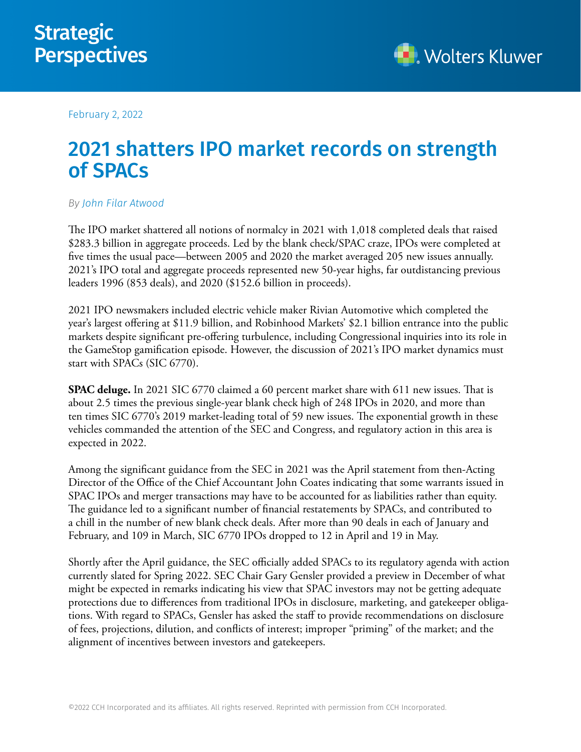

February 2, 2022

## 2021 shatters IPO market records on strength of SPACs

## *By [John Filar Atwood](https://lrus.wolterskluwer.com/about-us/experts/john-filar-atwood/)*

The IPO market shattered all notions of normalcy in 2021 with 1,018 completed deals that raised \$283.3 billion in aggregate proceeds. Led by the blank check/SPAC craze, IPOs were completed at five times the usual pace—between 2005 and 2020 the market averaged 205 new issues annually. 2021's IPO total and aggregate proceeds represented new 50-year highs, far outdistancing previous leaders 1996 (853 deals), and 2020 (\$152.6 billion in proceeds).

2021 IPO newsmakers included electric vehicle maker Rivian Automotive which completed the year's largest offering at \$11.9 billion, and Robinhood Markets' \$2.1 billion entrance into the public markets despite significant pre-offering turbulence, including Congressional inquiries into its role in the GameStop gamification episode. However, the discussion of 2021's IPO market dynamics must start with SPACs (SIC 6770).

**SPAC deluge.** In 2021 SIC 6770 claimed a 60 percent market share with 611 new issues. That is about 2.5 times the previous single-year blank check high of 248 IPOs in 2020, and more than ten times SIC 6770's 2019 market-leading total of 59 new issues. The exponential growth in these vehicles commanded the attention of the SEC and Congress, and regulatory action in this area is expected in 2022.

Among the significant guidance from the SEC in 2021 was the April statement from then-Acting Director of the Office of the Chief Accountant John Coates indicating that some warrants issued in SPAC IPOs and merger transactions may have to be accounted for as liabilities rather than equity. The guidance led to a significant number of financial restatements by SPACs, and contributed to a chill in the number of new blank check deals. After more than 90 deals in each of January and February, and 109 in March, SIC 6770 IPOs dropped to 12 in April and 19 in May.

Shortly after the April guidance, the SEC officially added SPACs to its regulatory agenda with action currently slated for Spring 2022. SEC Chair Gary Gensler provided a preview in December of what might be expected in remarks indicating his view that SPAC investors may not be getting adequate protections due to differences from traditional IPOs in disclosure, marketing, and gatekeeper obligations. With regard to SPACs, Gensler has asked the staff to provide recommendations on disclosure of fees, projections, dilution, and conflicts of interest; improper "priming" of the market; and the alignment of incentives between investors and gatekeepers.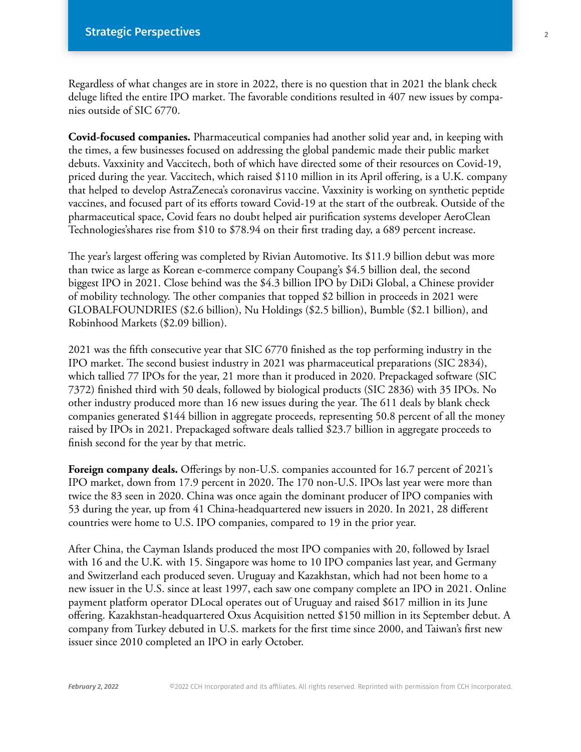Regardless of what changes are in store in 2022, there is no question that in 2021 the blank check deluge lifted the entire IPO market. The favorable conditions resulted in 407 new issues by companies outside of SIC 6770.

**Covid-focused companies.** Pharmaceutical companies had another solid year and, in keeping with the times, a few businesses focused on addressing the global pandemic made their public market debuts. Vaxxinity and Vaccitech, both of which have directed some of their resources on Covid-19, priced during the year. Vaccitech, which raised \$110 million in its April offering, is a U.K. company that helped to develop AstraZeneca's coronavirus vaccine. Vaxxinity is working on synthetic peptide vaccines, and focused part of its efforts toward Covid-19 at the start of the outbreak. Outside of the pharmaceutical space, Covid fears no doubt helped air purification systems developer AeroClean Technologies'shares rise from \$10 to \$78.94 on their first trading day, a 689 percent increase.

The year's largest offering was completed by Rivian Automotive. Its \$11.9 billion debut was more than twice as large as Korean e-commerce company Coupang's \$4.5 billion deal, the second biggest IPO in 2021. Close behind was the \$4.3 billion IPO by DiDi Global, a Chinese provider of mobility technology. The other companies that topped \$2 billion in proceeds in 2021 were GLOBALFOUNDRIES (\$2.6 billion), Nu Holdings (\$2.5 billion), Bumble (\$2.1 billion), and Robinhood Markets (\$2.09 billion).

2021 was the fifth consecutive year that SIC 6770 finished as the top performing industry in the IPO market. The second busiest industry in 2021 was pharmaceutical preparations (SIC 2834), which tallied 77 IPOs for the year, 21 more than it produced in 2020. Prepackaged software (SIC 7372) finished third with 50 deals, followed by biological products (SIC 2836) with 35 IPOs. No other industry produced more than 16 new issues during the year. The 611 deals by blank check companies generated \$144 billion in aggregate proceeds, representing 50.8 percent of all the money raised by IPOs in 2021. Prepackaged software deals tallied \$23.7 billion in aggregate proceeds to finish second for the year by that metric.

Foreign company deals. Offerings by non-U.S. companies accounted for 16.7 percent of 2021's IPO market, down from 17.9 percent in 2020. The 170 non-U.S. IPOs last year were more than twice the 83 seen in 2020. China was once again the dominant producer of IPO companies with 53 during the year, up from 41 China-headquartered new issuers in 2020. In 2021, 28 different countries were home to U.S. IPO companies, compared to 19 in the prior year.

After China, the Cayman Islands produced the most IPO companies with 20, followed by Israel with 16 and the U.K. with 15. Singapore was home to 10 IPO companies last year, and Germany and Switzerland each produced seven. Uruguay and Kazakhstan, which had not been home to a new issuer in the U.S. since at least 1997, each saw one company complete an IPO in 2021. Online payment platform operator DLocal operates out of Uruguay and raised \$617 million in its June offering. Kazakhstan-headquartered Oxus Acquisition netted \$150 million in its September debut. A company from Turkey debuted in U.S. markets for the first time since 2000, and Taiwan's first new issuer since 2010 completed an IPO in early October.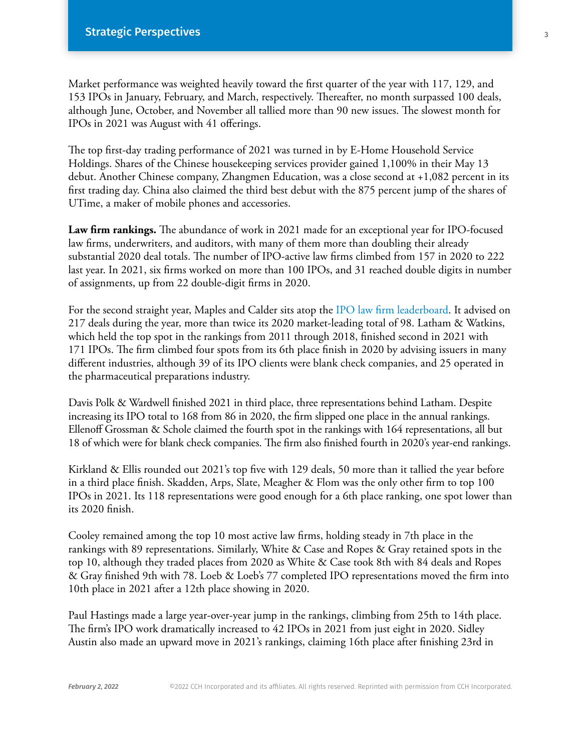Market performance was weighted heavily toward the first quarter of the year with 117, 129, and 153 IPOs in January, February, and March, respectively. Thereafter, no month surpassed 100 deals, although June, October, and November all tallied more than 90 new issues. The slowest month for IPOs in 2021 was August with 41 offerings.

The top first-day trading performance of 2021 was turned in by E-Home Household Service Holdings. Shares of the Chinese housekeeping services provider gained 1,100% in their May 13 debut. Another Chinese company, Zhangmen Education, was a close second at +1,082 percent in its first trading day. China also claimed the third best debut with the 875 percent jump of the shares of UTime, a maker of mobile phones and accessories.

**Law firm rankings.** The abundance of work in 2021 made for an exceptional year for IPO-focused law firms, underwriters, and auditors, with many of them more than doubling their already substantial 2020 deal totals. The number of IPO-active law firms climbed from 157 in 2020 to 222 last year. In 2021, six firms worked on more than 100 IPOs, and 31 reached double digits in number of assignments, up from 22 double-digit firms in 2020.

For the second straight year, Maples and Calder sits atop the [IPO law firm leaderboard.](https://business.cch.com/srd/Top20IPOLawFirms2021.pdf) It advised on 217 deals during the year, more than twice its 2020 market-leading total of 98. Latham & Watkins, which held the top spot in the rankings from 2011 through 2018, finished second in 2021 with 171 IPOs. The firm climbed four spots from its 6th place finish in 2020 by advising issuers in many different industries, although 39 of its IPO clients were blank check companies, and 25 operated in the pharmaceutical preparations industry.

Davis Polk & Wardwell finished 2021 in third place, three representations behind Latham. Despite increasing its IPO total to 168 from 86 in 2020, the firm slipped one place in the annual rankings. Ellenoff Grossman & Schole claimed the fourth spot in the rankings with 164 representations, all but 18 of which were for blank check companies. The firm also finished fourth in 2020's year-end rankings.

Kirkland & Ellis rounded out 2021's top five with 129 deals, 50 more than it tallied the year before in a third place finish. Skadden, Arps, Slate, Meagher & Flom was the only other firm to top 100 IPOs in 2021. Its 118 representations were good enough for a 6th place ranking, one spot lower than its 2020 finish.

Cooley remained among the top 10 most active law firms, holding steady in 7th place in the rankings with 89 representations. Similarly, White & Case and Ropes & Gray retained spots in the top 10, although they traded places from 2020 as White & Case took 8th with 84 deals and Ropes & Gray finished 9th with 78. Loeb & Loeb's 77 completed IPO representations moved the firm into 10th place in 2021 after a 12th place showing in 2020.

Paul Hastings made a large year-over-year jump in the rankings, climbing from 25th to 14th place. The firm's IPO work dramatically increased to 42 IPOs in 2021 from just eight in 2020. Sidley Austin also made an upward move in 2021's rankings, claiming 16th place after finishing 23rd in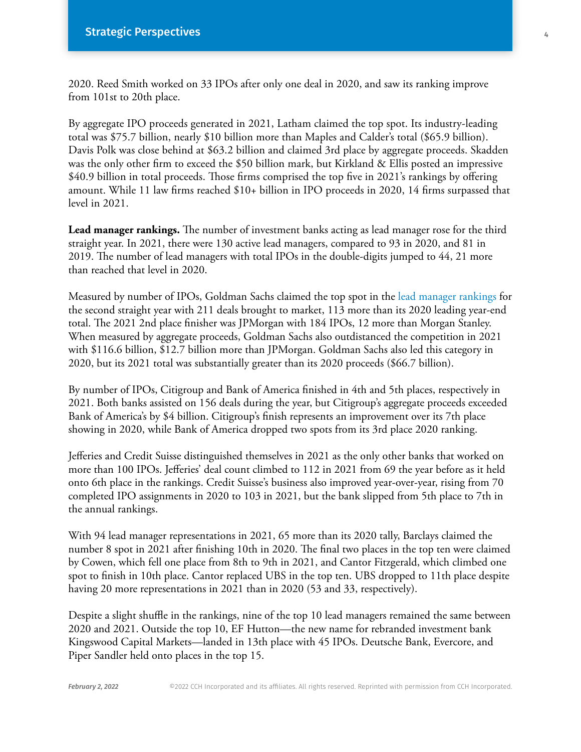2020. Reed Smith worked on 33 IPOs after only one deal in 2020, and saw its ranking improve from 101st to 20th place.

By aggregate IPO proceeds generated in 2021, Latham claimed the top spot. Its industry-leading total was \$75.7 billion, nearly \$10 billion more than Maples and Calder's total (\$65.9 billion). Davis Polk was close behind at \$63.2 billion and claimed 3rd place by aggregate proceeds. Skadden was the only other firm to exceed the \$50 billion mark, but Kirkland & Ellis posted an impressive \$40.9 billion in total proceeds. Those firms comprised the top five in 2021's rankings by offering amount. While 11 law firms reached \$10+ billion in IPO proceeds in 2020, 14 firms surpassed that level in 2021.

**Lead manager rankings.** The number of investment banks acting as lead manager rose for the third straight year. In 2021, there were 130 active lead managers, compared to 93 in 2020, and 81 in 2019. The number of lead managers with total IPOs in the double-digits jumped to 44, 21 more than reached that level in 2020.

Measured by number of IPOs, Goldman Sachs claimed the top spot in the [lead manager rankings](https://business.cch.com/srd/Top15IPOLeadManagers2021.pdf) for the second straight year with 211 deals brought to market, 113 more than its 2020 leading year-end total. The 2021 2nd place finisher was JPMorgan with 184 IPOs, 12 more than Morgan Stanley. When measured by aggregate proceeds, Goldman Sachs also outdistanced the competition in 2021 with \$116.6 billion, \$12.7 billion more than JPMorgan. Goldman Sachs also led this category in 2020, but its 2021 total was substantially greater than its 2020 proceeds (\$66.7 billion).

By number of IPOs, Citigroup and Bank of America finished in 4th and 5th places, respectively in 2021. Both banks assisted on 156 deals during the year, but Citigroup's aggregate proceeds exceeded Bank of America's by \$4 billion. Citigroup's finish represents an improvement over its 7th place showing in 2020, while Bank of America dropped two spots from its 3rd place 2020 ranking.

Jefferies and Credit Suisse distinguished themselves in 2021 as the only other banks that worked on more than 100 IPOs. Jefferies' deal count climbed to 112 in 2021 from 69 the year before as it held onto 6th place in the rankings. Credit Suisse's business also improved year-over-year, rising from 70 completed IPO assignments in 2020 to 103 in 2021, but the bank slipped from 5th place to 7th in the annual rankings.

With 94 lead manager representations in 2021, 65 more than its 2020 tally, Barclays claimed the number 8 spot in 2021 after finishing 10th in 2020. The final two places in the top ten were claimed by Cowen, which fell one place from 8th to 9th in 2021, and Cantor Fitzgerald, which climbed one spot to finish in 10th place. Cantor replaced UBS in the top ten. UBS dropped to 11th place despite having 20 more representations in 2021 than in 2020 (53 and 33, respectively).

Despite a slight shuffle in the rankings, nine of the top 10 lead managers remained the same between 2020 and 2021. Outside the top 10, EF Hutton—the new name for rebranded investment bank Kingswood Capital Markets—landed in 13th place with 45 IPOs. Deutsche Bank, Evercore, and Piper Sandler held onto places in the top 15.